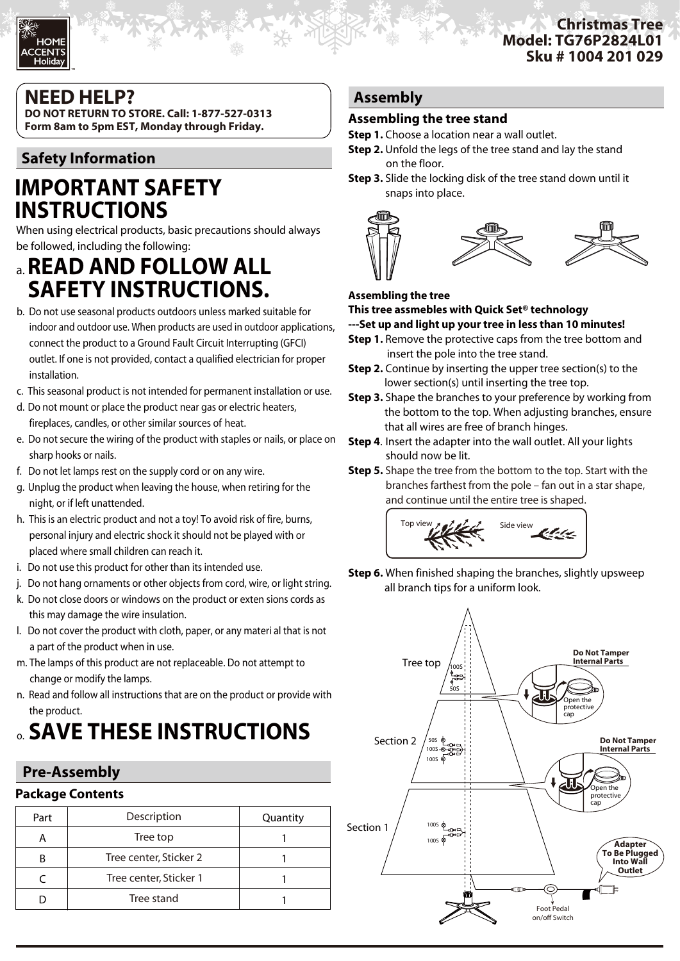#### **Christmas Tree Model: TG76P2824L01 Sku # 1004 201 029**

# **NEED HELP?**

TM

**DO NOT RETURN TO STORE. Call: 1-877-527-0313 Form 8am to 5pm EST, Monday through Friday.**

# **Safety Information**

# **IMPORTANT SAFETY INSTRUCTIONS**

When using electrical products, basic precautions should always be followed, including the following:

# a. **READ AND FOLLOW ALL SAFETY INSTRUCTIONS.**

- b. Do not use seasonal products outdoors unless marked suitable for indoor and outdoor use. When products are used in outdoor applications, connect the product to a Ground Fault Circuit Interrupting (GFCI) outlet. If one is not provided, contact a qualified electrician for proper installation.
- c. This seasonal product is not intended for permanent installation or use.
- d. Do not mount or place the product near gas or electric heaters, fireplaces, candles, or other similar sources of heat.
- e. Do not secure the wiring of the product with staples or nails, or place on sharp hooks or nails.
- f. Do not let lamps rest on the supply cord or on any wire.
- g. Unplug the product when leaving the house, when retiring for the night, or if left unattended.
- h. This is an electric product and not a toy! To avoid risk of fire, burns, personal injury and electric shock it should not be played with or placed where small children can reach it.
- i. Do not use this product for other than its intended use.
- j. Do not hang ornaments or other objects from cord, wire, or light string.
- k. Do not close doors or windows on the product or exten sions cords as this may damage the wire insulation.
- l. Do not cover the product with cloth, paper, or any materi al that is not a part of the product when in use.
- m. The lamps of this product are not replaceable. Do not attempt to change or modify the lamps.
- n. Read and follow all instructions that are on the product or provide with the product.

# o. **SAVE THESE INSTRUCTIONS**

# **Pre-Assembly**

# **Package Contents**

| Part | Description            | Quantity |
|------|------------------------|----------|
|      | Tree top               |          |
| B    | Tree center, Sticker 2 |          |
|      | Tree center, Sticker 1 |          |
|      | Tree stand             |          |

# **Assembly**

### **Assembling the tree stand**

- **Step 1.** Choose a location near a wall outlet.
- **Step 2.** Unfold the legs of the tree stand and lay the stand on the floor.
- **Step 3.** Slide the locking disk of the tree stand down until it snaps into place.



#### **Assembling the tree**

**This tree assmebles with Quick Set® technology**

**---Set up and light up your tree in less than 10 minutes!**

- **Step 1.** Remove the protective caps from the tree bottom and insert the pole into the tree stand.
- **Step 2.** Continue by inserting the upper tree section(s) to the lower section(s) until inserting the tree top.
- **Step 3.** Shape the branches to your preference by working from the bottom to the top. When adjusting branches, ensure that all wires are free of branch hinges.
- **Step 4**. Insert the adapter into the wall outlet. All your lights should now be lit.
- **Step 5.** Shape the tree from the bottom to the top. Start with the branches farthest from the pole – fan out in a star shape, and continue until the entire tree is shaped.



**Step 6.** When finished shaping the branches, slightly upsweep all branch tips for a uniform look.